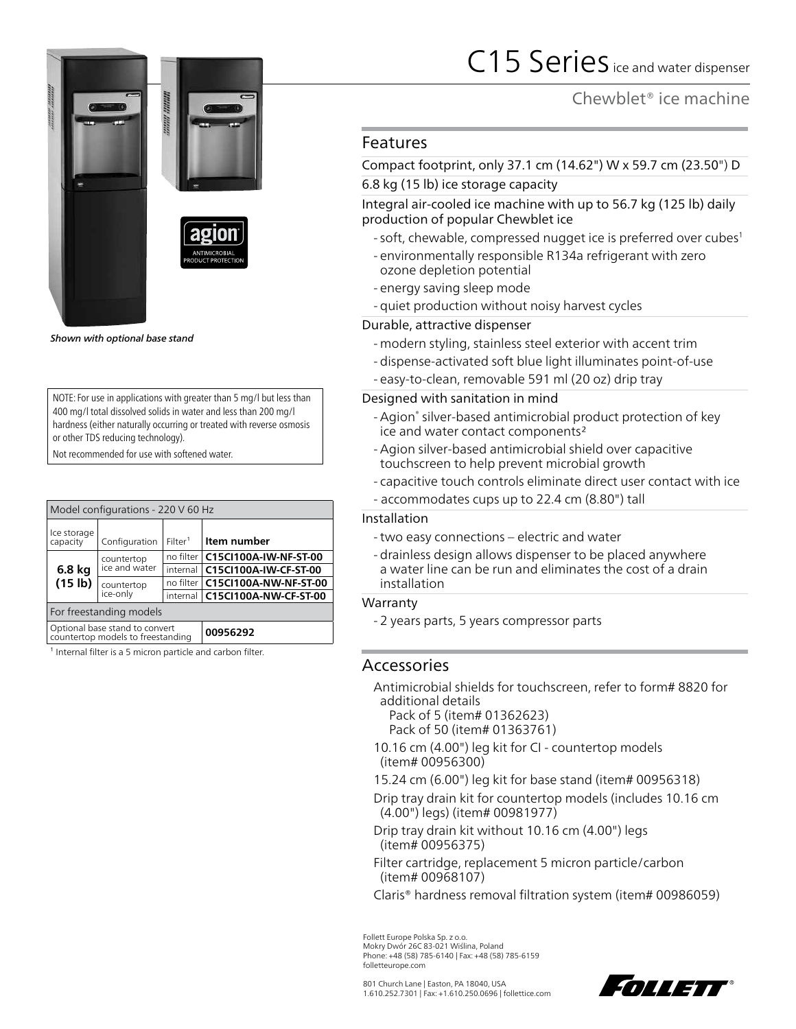

*Shown with optional base stand*

NOTE: For use in applications with greater than 5 mg/l but less than 400 mg/l total dissolved solids in water and less than 200 mg/l hardness (either naturally occurring or treated with reverse osmosis or other TDS reducing technology).

Not recommended for use with softened water.

| Model configurations - 220 V 60 Hz                                  |                             |                     |                                   |  |  |
|---------------------------------------------------------------------|-----------------------------|---------------------|-----------------------------------|--|--|
| Ice storage<br>capacity                                             | Configuration               | Filter <sup>1</sup> | Item number                       |  |  |
| 6.8 kg<br>(15 lb)                                                   | countertop<br>ice and water |                     | no filter   C15CI100A-IW-NF-ST-00 |  |  |
|                                                                     |                             | internal            | C15CI100A-IW-CF-ST-00             |  |  |
|                                                                     | countertop<br>ice-only      |                     | no filter   C15CI100A-NW-NF-ST-00 |  |  |
|                                                                     |                             |                     | internal   C15CI100A-NW-CF-ST-00  |  |  |
| For freestanding models                                             |                             |                     |                                   |  |  |
| Optional base stand to convert<br>countertop models to freestanding |                             |                     | 00956292                          |  |  |

 $1$  Internal filter is a 5 micron particle and carbon filter.

# C15 Series ice and water dispenser

Chewblet® ice machine

## Features

Compact footprint, only 37.1 cm (14.62") W x 59.7 cm (23.50") D

## 6.8 kg (15 lb) ice storage capacity

Integral air-cooled ice machine with up to 56.7 kg (125 lb) daily production of popular Chewblet ice

- soft, chewable, compressed nugget ice is preferred over cubes<sup>1</sup>
- environmentally responsible R134a refrigerant with zero ozone depletion potential
- energy saving sleep mode
- quiet production without noisy harvest cycles

## Durable, attractive dispenser

- modern styling, stainless steel exterior with accent trim
- dispense-activated soft blue light illuminates point-of-use
- easy-to-clean, removable 591 ml (20 oz) drip tray

## Designed with sanitation in mind

- -Agion® silver-based antimicrobial product protection of key ice and water contact components2
- -Agion silver-based antimicrobial shield over capacitive touchscreen to help prevent microbial growth
- capacitive touch controls eliminate direct user contact with ice
- accommodates cups up to 22.4 cm (8.80") tall

#### Installation

- -two easy connections electric and water
- drainless design allows dispenser to be placed anywhere a water line can be run and eliminates the cost of a drain installation

#### Warranty

- 2 years parts, 5 years compressor parts

## Accessories

Antimicrobial shields for touchscreen, refer to form# 8820 for additional details

Pack of 5 (item# 01362623) Pack of 50 (item# 01363761)

- 10.16 cm (4.00") leg kit for CI countertop models (item# 00956300)
- 15.24 cm (6.00") leg kit for base stand (item# 00956318)
- Drip tray drain kit for countertop models (includes 10.16 cm (4.00") legs) (item# 00981977)
- Drip tray drain kit without 10.16 cm (4.00") legs (item# 00956375)
- Filter cartridge, replacement 5 micron particle/carbon (item# 00968107)

Claris® hardness removal filtration system (item# 00986059)

Follett Europe Polska Sp. z o.o. Mokry Dwór 26C 83-021 Wiślina, Poland Phone: +48 (58) 785-6140 | Fax: +48 (58) 785-6159 folletteurope.com

801 Church Lane | Easton, PA 18040, USA 1.610.252.7301 | Fax: +1.610.250.0696 | follettice.com